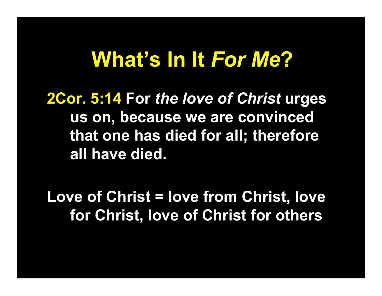## **What's In It** *For Me***?**

**2Cor. 5:14 For** *the love of Christ* **urges us on, because we are convinced that one has died for all; therefore all have died.**

**Love of Christ = love from Christ, love for Christ, love of Christ for others**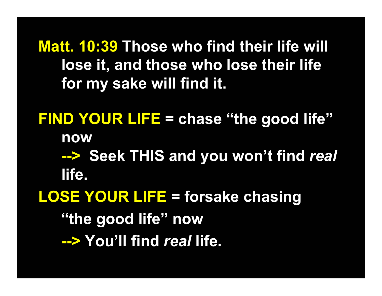**Matt. 10:39 Those who find their life will lose it, and those who lose their life for my sake will find it.**

**FIND YOUR LIFE = chase "the good life" now --> Seek THIS and you won't find** *real* **life. LOSE YOUR LIFE = forsake chasing "the good life" now**

**--> You'll find** *real* **life.**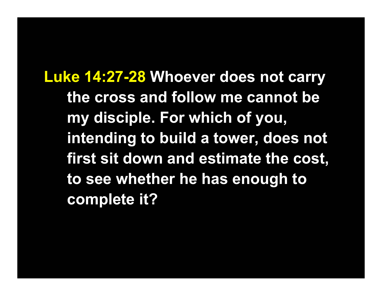**Luke 14:27-28 Whoever does not carry the cross and follow me cannot be my disciple. For which of you, intending to build a tower, does not first sit down and estimate the cost, to see whether he has enough to complete it?**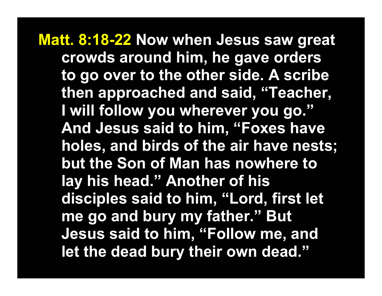**Matt. 8:18-22 Now when Jesus saw great crowds around him, he gave orders to go over to the other side. A scribe then approached and said, "Teacher, I will follow you wherever you go." And Jesus said to him, "Foxes have holes, and birds of the air have nests; but the Son of Man has nowhere to lay his head." Another of his disciples said to him, "Lord, first let me go and bury my father." But Jesus said to him, "Follow me, and let the dead bury their own dead."**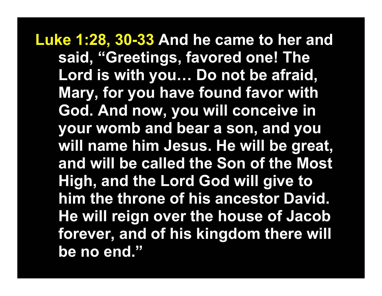**Luke 1:28, 30-33 And he came to her and said, "Greetings, favored one! The Lord is with you… Do not be afraid, Mary, for you have found favor with God. And now, you will conceive in your womb and bear a son, and you will name him Jesus. He will be great, and will be called the Son of the Most High, and the Lord God will give to him the throne of his ancestor David. He will reign over the house of Jacob forever, and of his kingdom there will be no end."**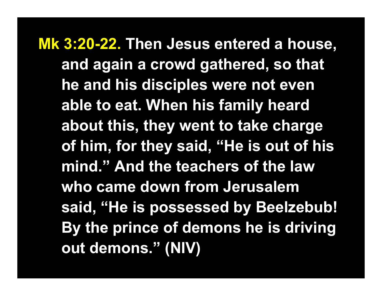**Mk 3:20-22. Then Jesus entered a house, and again a crowd gathered, so that he and his disciples were not even able to eat. When his family heard about this, they went to take charge of him, for they said, "He is out of his mind." And the teachers of the law who came down from Jerusalem said, "He is possessed by Beelzebub! By the prince of demons he is driving out demons." (NIV)**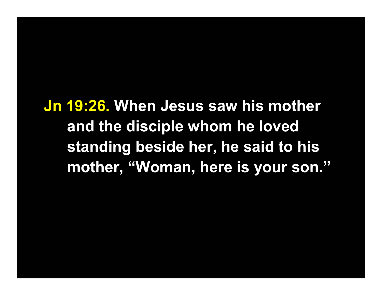**Jn 19:26. When Jesus saw his mother and the disciple whom he loved standing beside her, he said to his mother, "Woman, here is your son."**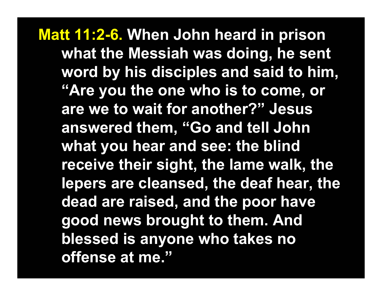**Matt 11:2-6. When John heard in prison what the Messiah was doing, he sent word by his disciples and said to him, "Are you the one who is to come, or are we to wait for another?" Jesus answered them, "Go and tell John what you hear and see: the blind receive their sight, the lame walk, the lepers are cleansed, the deaf hear, the dead are raised, and the poor have good news brought to them. And blessed is anyone who takes no offense at me."**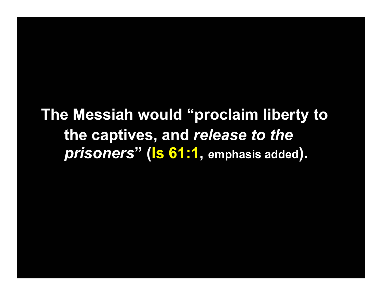## **The Messiah would "proclaim liberty to the captives, and** *release to the prisoners***" (Is 61:1 , emphasis added).**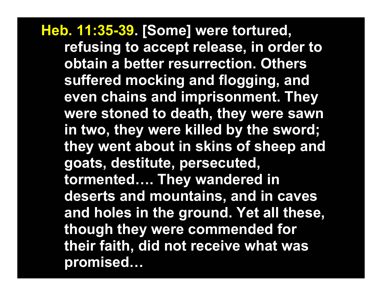**Heb. 11:35-39. [Some] were tortured, refusing to accept release, in order to obtain a better resurrection. Others suffered mocking and flogging, and even chains and imprisonment. They were stoned to death, they were sawn in two, they were killed by the sword; they went about in skins of sheep and goats, destitute, persecuted, tormented…. They wandered in deserts and mountains, and in caves and holes in the ground. Yet all these, though they were commended for their faith, did not receive what was promised…**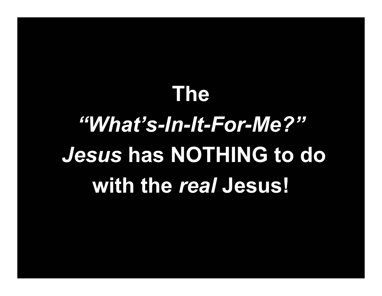## **The**

## *"What's-In-It-For-Me?"Jesus* **has NOTHING to do with the** *real* **Jesus!**